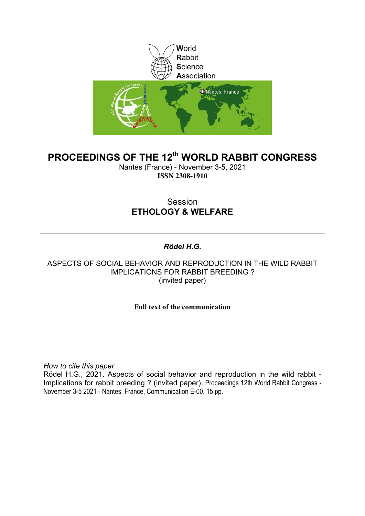

# **PROCEEDINGS OF THE 12th WORLD RABBIT CONGRESS**

Nantes (France) - November 3-5, 2021 **ISSN 2308-1910**

## Session **ETHOLOGY & WELFARE**

## *Rödel H.G.*

## ASPECTS OF SOCIAL BEHAVIOR AND REPRODUCTION IN THE WILD RABBIT IMPLICATIONS FOR RABBIT BREEDING ? (invited paper)

## **Full text of the communication**

*How to cite this paper*

Rödel H.G., 2021. Aspects of social behavior and reproduction in the wild rabbit - Implications for rabbit breeding ? (invited paper). Proceedings 12th World Rabbit Congress - November 3-5 2021 - Nantes, France, Communication E-00, 15 pp.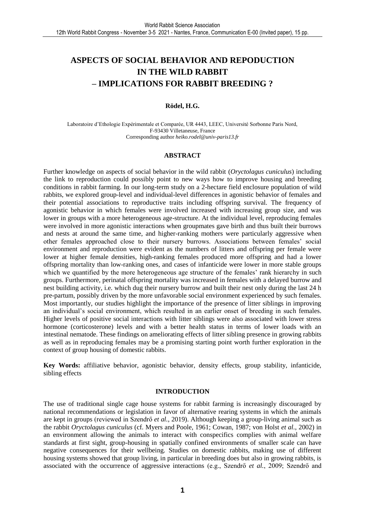# **ASPECTS OF SOCIAL BEHAVIOR AND REPODUCTION IN THE WILD RABBIT – IMPLICATIONS FOR RABBIT BREEDING ?**

#### **Rödel, H.G.**

Laboratoire d'Ethologie Expérimentale et Comparée, UR 4443, LEEC, Université Sorbonne Paris Nord, F-93430 Villetaneuse, France Corresponding author *[heiko.rodel@univ-paris13.fr](mailto:heiko.rodel@univ-paris13.fr)*

#### **ABSTRACT**

Further knowledge on aspects of social behavior in the wild rabbit (*Oryctolagus cuniculus*) including the link to reproduction could possibly point to new ways how to improve housing and breeding conditions in rabbit farming. In our long-term study on a 2-hectare field enclosure population of wild rabbits, we explored group-level and individual-level differences in agonistic behavior of females and their potential associations to reproductive traits including offspring survival. The frequency of agonistic behavior in which females were involved increased with increasing group size, and was lower in groups with a more heterogeneous age-structure. At the individual level, reproducing females were involved in more agonistic interactions when groupmates gave birth and thus built their burrows and nests at around the same time, and higher-ranking mothers were particularly aggressive when other females approached close to their nursery burrows. Associations between females' social environment and reproduction were evident as the numbers of litters and offspring per female were lower at higher female densities, high-ranking females produced more offspring and had a lower offspring mortality than low-ranking ones, and cases of infanticide were lower in more stable groups which we quantified by the more heterogeneous age structure of the females' rank hierarchy in such groups. Furthermore, perinatal offspring mortality was increased in females with a delayed burrow and nest building activity, i.e. which dug their nursery burrow and built their nest only during the last 24 h pre-partum, possibly driven by the more unfavorable social environment experienced by such females. Most importantly, our studies highlight the importance of the presence of litter siblings in improving an individual's social environment, which resulted in an earlier onset of breeding in such females. Higher levels of positive social interactions with litter siblings were also associated with lower stress hormone (corticosterone) levels and with a better health status in terms of lower loads with an intestinal nematode. These findings on ameliorating effects of litter sibling presence in growing rabbits as well as in reproducing females may be a promising starting point worth further exploration in the context of group housing of domestic rabbits.

**Key Words:** affiliative behavior, agonistic behavior, density effects, group stability, infanticide, sibling effects

#### **INTRODUCTION**

The use of traditional single cage house systems for rabbit farming is increasingly discouraged by national recommendations or legislation in favor of alternative rearing systems in which the animals are kept in groups (reviewed in Szendrő *et al.*, 2019). Although keeping a group-living animal such as the rabbit *Oryctolagus cuniculus* (cf. Myers and Poole, 1961; Cowan, 1987; von Holst *et al.*, 2002) in an environment allowing the animals to interact with conspecifics complies with animal welfare standards at first sight, group-housing in spatially confined environments of smaller scale can have negative consequences for their wellbeing. Studies on domestic rabbits, making use of different housing systems showed that group living, in particular in breeding does but also in growing rabbits, is associated with the occurrence of aggressive interactions (e.g., Szendrő *et al.*, 2009; Szendrő and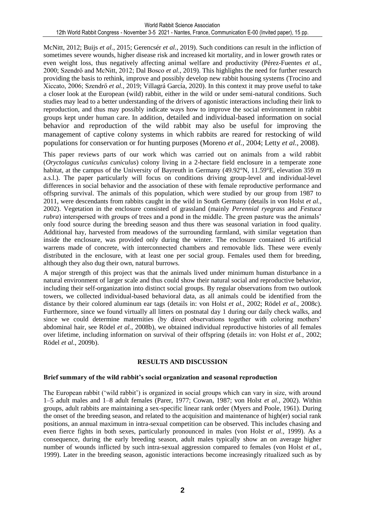McNitt, 2012; Buijs *et al.*, 2015; Gerencsér *et al.*, 2019). Such conditions can result in the infliction of sometimes severe wounds, higher disease risk and increased kit mortality, and in lower growth rates or even weight loss, thus negatively affecting animal welfare and productivity (Pérez-Fuentes *et al.*, 2000; Szendrő and McNitt, 2012; Dal Bosco *et al.*, 2019). This highlights the need for further research providing the basis to rethink, improve and possibly develop new rabbit housing systems (Trocino and Xiccato, 2006; Szendrő *et al.*, 2019; Villagrá García, 2020). In this context it may prove useful to take a closer look at the European (wild) rabbit, either in the wild or under semi-natural conditions. Such studies may lead to a better understanding of the drivers of agonistic interactions including their link to reproduction, and thus may possibly indicate ways how to improve the social environment in rabbit groups kept under human care. In addition, detailed and individual-based information on social behavior and reproduction of the wild rabbit may also be useful for improving the management of captive colony systems in which rabbits are reared for restocking of wild populations for conservation or for hunting purposes (Moreno *et al.*, 2004; Letty *et al.*, 2008).

This paper reviews parts of our work which was carried out on animals from a wild rabbit (*Oryctolagus cuniculus cuniculus*) colony living in a 2-hectare field enclosure in a temperate zone habitat, at the campus of the University of Bayreuth in Germany (49.92°N, 11.59°E, elevation 359 m a.s.l.). The paper particularly will focus on conditions driving group-level and individual-level differences in social behavior and the association of these with female reproductive performance and offspring survival. The animals of this population, which were studied by our group from 1987 to 2011, were descendants from rabbits caught in the wild in South Germany (details in von Holst *et al.*, 2002). Vegetation in the enclosure consisted of grassland (mainly *Perennial ryegrass* and *Festuca rubra*) interspersed with groups of trees and a pond in the middle. The green pasture was the animals' only food source during the breeding season and thus there was seasonal variation in food quality. Additional hay, harvested from meadows of the surrounding farmland, with similar vegetation than inside the enclosure, was provided only during the winter. The enclosure contained 16 artificial warrens made of concrete, with interconnected chambers and removable lids. These were evenly distributed in the enclosure, with at least one per social group. Females used them for breeding, although they also dug their own, natural burrows.

A major strength of this project was that the animals lived under minimum human disturbance in a natural environment of larger scale and thus could show their natural social and reproductive behavior, including their self-organization into distinct social groups. By regular observations from two outlook towers, we collected individual-based behavioral data, as all animals could be identified from the distance by their colored aluminum ear tags (details in: von Holst *et al.*, 2002; Rödel *et al.*, 2008c). Furthermore, since we found virtually all litters on postnatal day 1 during our daily check walks, and since we could determine maternities (by direct observations together with coloring mothers' abdominal hair, see Rödel *et al.*, 2008b), we obtained individual reproductive histories of all females over lifetime, including information on survival of their offspring (details in: von Holst *et al.*, 2002; Rödel *et al.*, 2009b).

### **RESULTS AND DISCUSSION**

### **Brief summary of the wild rabbit's social organization and seasonal reproduction**

The European rabbit ('wild rabbit') is organized in social groups which can vary in size, with around 1–5 adult males and 1–8 adult females (Parer, 1977; Cowan, 1987; von Holst *et al.*, 2002). Within groups, adult rabbits are maintaining a sex-specific linear rank order (Myers and Poole, 1961). During the onset of the breeding season, and related to the acquisition and maintenance of high(er) social rank positions, an annual maximum in intra-sexual competition can be observed. This includes chasing and even fierce fights in both sexes, particularly pronounced in males (von Holst *et al.*, 1999). As a consequence, during the early breeding season, adult males typically show an on average higher number of wounds inflicted by such intra-sexual aggression compared to females (von Holst *et al.*, 1999). Later in the breeding season, agonistic interactions become increasingly ritualized such as by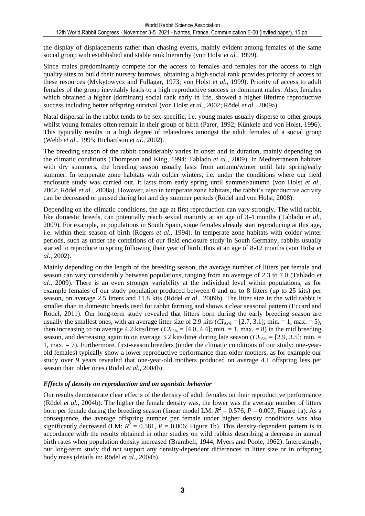the display of displacements rather than chasing events, mainly evident among females of the same social group with established and stable rank hierarchy (von Holst *et al.*, 1999).

Since males predominantly compete for the access to females and females for the access to high quality sites to build their nursery burrows, obtaining a high social rank provides priority of access to these resources (Mykytowycz and Fullagar, 1973; von Holst *et al.*, 1999). Priority of access to adult females of the group inevitably leads to a high reproductive success in dominant males. Also, females which obtained a higher (dominant) social rank early in life, showed a higher lifetime reproductive success including better offspring survival (von Holst *et al.*, 2002; Rödel *et al.*, 2009a).

Natal dispersal in the rabbit tends to be sex-specific, i.e. young males usually disperse to other groups whilst young females often remain in their group of birth (Parer, 1992; Künkele and von Holst, 1996). This typically results in a high degree of relatedness amongst the adult females of a social group (Webb *et al.*, 1995; Richardson *et al.*, 2002).

The breeding season of the rabbit considerably varies in onset and in duration, mainly depending on the climatic conditions (Thompson and King, 1994; Tablado *et al.*, 2009). In Mediterranean habitats with dry summers, the breeding season usually lasts from autumn/winter until late spring/early summer. In temperate zone habitats with colder winters, i.e. under the conditions where our field enclosure study was carried out, it lasts from early spring until summer/autumn (von Holst *et al.*, 2002; Rödel *et al.*, 2008a). However, also in temperate zone habitats, the rabbit's reproductive activity can be decreased or paused during hot and dry summer periods (Rödel and von Holst, 2008).

Depending on the climatic conditions, the age at first reproduction can vary strongly. The wild rabbit, like domestic breeds, can potentially reach sexual maturity at an age of 3-4 months (Tablado *et al.*, 2009). For example, in populations in South Spain, some females already start reproducing at this age, i.e. within their season of birth (Rogers *et al.*, 1994). In temperate zone habitats with colder winter periods, such as under the conditions of our field enclosure study in South Germany, rabbits usually started to reproduce in spring following their year of birth, thus at an age of 8-12 months (von Holst *et al.*, 2002).

Mainly depending on the length of the breeding season, the average number of litters per female and season can vary considerably between populations, ranging from an average of 2.3 to 7.0 (Tablado *et al.*, 2009). There is an even stronger variability at the individual level within populations, as for example females of our study population produced between 0 and up to 8 litters (up to 25 kits) per season, on average 2.5 litters and 11.8 kits (Rödel *et al.*, 2009b). The litter size in the wild rabbit is smaller than in domestic breeds used for rabbit farming and shows a clear seasonal pattern (Eccard and Rödel, 2011). Our long-term study revealed that litters born during the early breeding season are usually the smallest ones, with an average litter size of 2.9 kits  $(CI_{95\%} = [2.7, 3.1]$ ; min. = 1, max. = 5), then increasing to on average 4.2 kits/litter  $(CI_{95\%} = [4.0, 4.4]$ ; min. = 1, max. = 8) in the mid breeding season, and decreasing again to on average 3.2 kits/litter during late season  $(CI_{95\%} = [2.9, 3.5]$ ; min. = 1, max. = 7). Furthermore, first-season breeders (under the climatic conditions of our study: one-yearold females) typically show a lower reproductive performance than older mothers, as for example our study over 9 years revealed that one-year-old mothers produced on average 4.1 offspring less per season than older ones (Rödel *et al.*, 2004b).

### *Effects of density on reproduction and on agonistic behavior*

Our results demonstrate clear effects of the density of adult females on their reproductive performance (Rödel *et al.*, 2004b). The higher the female density was, the lower was the average number of litters born per female during the breeding season (linear model LM:  $R^2 = 0.576$ ,  $P = 0.007$ ; Figure 1a). As a consequence, the average offspring number per female under higher density conditions was also significantly decreased (LM:  $R^2 = 0.581$ ,  $P = 0.006$ ; Figure 1b). This density-dependent pattern is in accordance with the results obtained in other studies on wild rabbits describing a decrease in annual birth rates when population density increased (Brambell, 1944; Myers and Poole, 1962). Interestingly, our long-term study did not support any density-dependent differences in litter size or in offspring body mass (details in: Rödel *et al.*, 2004b).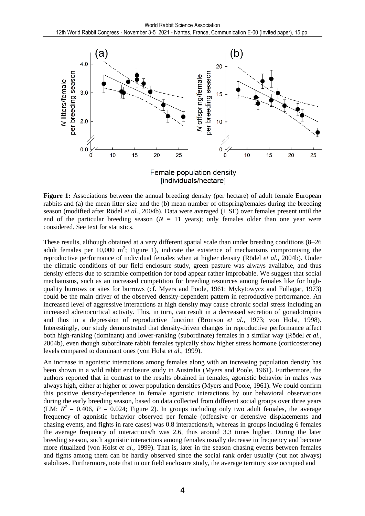

**Figure 1:** Associations between the annual breeding density (per hectare) of adult female European rabbits and (a) the mean litter size and the (b) mean number of offspring/females during the breeding season (modified after Rödel *et al.*, 2004b). Data were averaged  $(\pm \text{ SE})$  over females present until the end of the particular breeding season  $(N = 11)$  years); only females older than one year were considered. See text for statistics.

These results, although obtained at a very different spatial scale than under breeding conditions (8–26 adult females per  $10,000$  m<sup>2</sup>; Figure 1), indicate the existence of mechanisms compromising the reproductive performance of individual females when at higher density (Rödel *et al.*, 2004b). Under the climatic conditions of our field enclosure study, green pasture was always available, and thus density effects due to scramble competition for food appear rather improbable. We suggest that social mechanisms, such as an increased competition for breeding resources among females like for highquality burrows or sites for burrows (cf. Myers and Poole, 1961; Mykytowycz and Fullagar, 1973) could be the main driver of the observed density-dependent pattern in reproductive performance. An increased level of aggressive interactions at high density may cause chronic social stress including an increased adrenocortical activity. This, in turn, can result in a decreased secretion of gonadotropins and thus in a depression of reproductive function (Bronson *et al.*, 1973; von Holst, 1998). Interestingly, our study demonstrated that density-driven changes in reproductive performance affect both high-ranking (dominant) and lower-ranking (subordinate) females in a similar way (Rödel *et al.*, 2004b), even though subordinate rabbit females typically show higher stress hormone (corticosterone) levels compared to dominant ones (von Holst *et al.*, 1999).

An increase in agonistic interactions among females along with an increasing population density has been shown in a wild rabbit enclosure study in Australia (Myers and Poole, 1961). Furthermore, the authors reported that in contrast to the results obtained in females, agonistic behavior in males was always high, either at higher or lower population densities (Myers and Poole, 1961). We could confirm this positive density-dependence in female agonistic interactions by our behavioral observations during the early breeding season, based on data collected from different social groups over three years (LM:  $R^2 = 0.406$ ,  $P = 0.024$ ; Figure 2). In groups including only two adult females, the average frequency of agonistic behavior observed per female (offensive or defensive displacements and chasing events, and fights in rare cases) was 0.8 interactions/h, whereas in groups including 6 females the average frequency of interactions/h was 2.6, thus around 3.3 times higher. During the later breeding season, such agonistic interactions among females usually decrease in frequency and become more ritualized (von Holst *et al.*, 1999). That is, later in the season chasing events between females and fights among them can be hardly observed since the social rank order usually (but not always) stabilizes. Furthermore, note that in our field enclosure study, the average territory size occupied and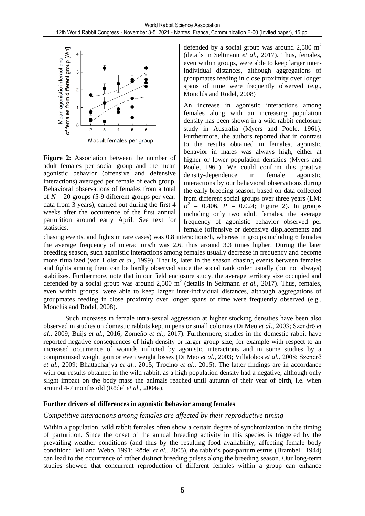

**Figure 2:** Association between the number of adult females per social group and the mean agonistic behavior (offensive and defensive interactions) averaged per female of each group. Behavioral observations of females from a total of  $N = 20$  groups (5-9 different groups per year, data from 3 years), carried out during the first 4 weeks after the occurrence of the first annual parturition around early April. See text for statistics.

defended by a social group was around  $2,500 \text{ m}^2$ (details in Seltmann *et al.*, 2017). Thus, females, even within groups, were able to keep larger interindividual distances, although aggregations of groupmates feeding in close proximity over longer spans of time were frequently observed (e.g., Monclús and Rödel, 2008)

An increase in agonistic interactions among females along with an increasing population density has been shown in a wild rabbit enclosure study in Australia (Myers and Poole, 1961). Furthermore, the authors reported that in contrast to the results obtained in females, agonistic behavior in males was always high, either at higher or lower population densities (Myers and Poole, 1961). We could confirm this positive density-dependence in female agonistic interactions by our behavioral observations during the early breeding season, based on data collected from different social groups over three years (LM:  $R^2 = 0.406$ ,  $P = 0.024$ ; Figure 2). In groups including only two adult females, the average frequency of agonistic behavior observed per female (offensive or defensive displacements and

chasing events, and fights in rare cases) was 0.8 interactions/h, whereas in groups including 6 females the average frequency of interactions/h was 2.6, thus around 3.3 times higher. During the later breeding season, such agonistic interactions among females usually decrease in frequency and become more ritualized (von Holst *et al.*, 1999). That is, later in the season chasing events between females and fights among them can be hardly observed since the social rank order usually (but not always) stabilizes. Furthermore, note that in our field enclosure study, the average territory size occupied and defended by a social group was around  $2,500 \text{ m}^2$  (details in Seltmann *et al.*, 2017). Thus, females, even within groups, were able to keep larger inter-individual distances, although aggregations of groupmates feeding in close proximity over longer spans of time were frequently observed (e.g., Monclús and Rödel, 2008).

Such increases in female intra-sexual aggression at higher stocking densities have been also observed in studies on domestic rabbits kept in pens or small colonies (Di Meo *et al.*, 2003; Szendrő *et al.*, 2009; Buijs *et al.*, 2016; Zomeño *et al.*, 2017). Furthermore, studies in the domestic rabbit have reported negative consequences of high density or larger group size, for example with respect to an increased occurrence of wounds inflicted by agonistic interactions and in some studies by a compromised weight gain or even weight losses (Di Meo *et al.*, 2003; Villalobos *et al.*, 2008; Szendrő *et al.*, 2009; Bhattacharjya *et al.*, 2015; Trocino *et al.*, 2015). The latter findings are in accordance with our results obtained in the wild rabbit, as a high population density had a negative, although only slight impact on the body mass the animals reached until autumn of their year of birth, i.e. when around 4-7 months old (Rödel *et al.*, 2004a).

### **Further drivers of differences in agonistic behavior among females**

## *Competitive interactions among females are affected by their reproductive timing*

Within a population, wild rabbit females often show a certain degree of synchronization in the timing of parturition. Since the onset of the annual breeding activity in this species is triggered by the prevailing weather conditions (and thus by the resulting food availability, affecting female body condition: Bell and Webb, 1991; Rödel *et al.*, 2005), the rabbit's post-partum estrus (Brambell, 1944) can lead to the occurrence of rather distinct breeding pulses along the breeding season. Our long-term studies showed that concurrent reproduction of different females within a group can enhance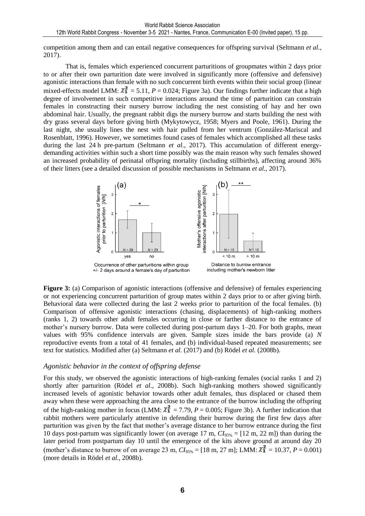competition among them and can entail negative consequences for offspring survival (Seltmann *et al.*, 2017).

That is, females which experienced concurrent parturitions of groupmates within 2 days prior to or after their own parturition date were involved in significantly more (offensive and defensive) agonistic interactions than female with no such concurrent birth events within their social group (linear mixed-effects model LMM:  $\chi_1^2 = 5.11$ ,  $P = 0.024$ ; Figure 3a). Our findings further indicate that a high degree of involvement in such competitive interactions around the time of parturition can constrain females in constructing their nursery burrow including the nest consisting of hay and her own abdominal hair. Usually, the pregnant rabbit digs the nursery burrow and starts building the nest with dry grass several days before giving birth (Mykytowycz, 1958; Myers and Poole, 1961). During the last night, she usually lines the nest with hair pulled from her ventrum (González-Mariscal and Rosenblatt, 1996). However, we sometimes found cases of females which accomplished all these tasks during the last 24 h pre-partum (Seltmann *et al.*, 2017). This accumulation of different energydemanding activities within such a short time possibly was the main reason why such females showed an increased probability of perinatal offspring mortality (including stillbirths), affecting around 36% of their litters (see a detailed discussion of possible mechanisms in Seltmann *et al.*, 2017).



**Figure 3:** (a) Comparison of agonistic interactions (offensive and defensive) of females experiencing or not experiencing concurrent parturition of group mates within 2 days prior to or after giving birth. Behavioral data were collected during the last 2 weeks prior to parturition of the focal females. (b) Comparison of offensive agonistic interactions (chasing, displacements) of high-ranking mothers (ranks 1, 2) towards other adult females occurring in close or farther distance to the entrance of mother's nursery burrow. Data were collected during post-partum days 1–20. For both graphs, mean values with 95% confidence intervals are given. Sample sizes inside the bars provide (a) *N* reproductive events from a total of 41 females, and (b) individual-based repeated measurements; see text for statistics. Modified after (a) Seltmann *et al.* (2017) and (b) Rödel *et al.* (2008b).

### *Agonistic behavior in the context of offspring defense*

For this study, we observed the agonistic interactions of high-ranking females (social ranks 1 and 2) shortly after parturition (Rödel *et al.*, 2008b). Such high-ranking mothers showed significantly increased levels of agonistic behavior towards other adult females, thus displaced or chased them away when these were approaching the area close to the entrance of the burrow including the offspring of the high-ranking mother in focus (LMM:  $\chi_1^2 = 7.79$ ,  $P = 0.005$ ; Figure 3b). A further indication that rabbit mothers were particularly attentive in defending their burrow during the first few days after parturition was given by the fact that mother's average distance to her burrow entrance during the first 10 days post-partum was significantly lower (on average 17 m,  $CI_{95\%} = [12 \text{ m}, 22 \text{ m}]$ ) than during the later period from postpartum day 10 until the emergence of the kits above ground at around day 20 (mother's distance to burrow of on average 23 m,  $CI_{95\%} = [18 \text{ m}, 27 \text{ m}]$ ; LMM:  $\chi_1^2 = 10.37$ ,  $P = 0.001$ ) (more details in Rödel *et al.*, 2008b).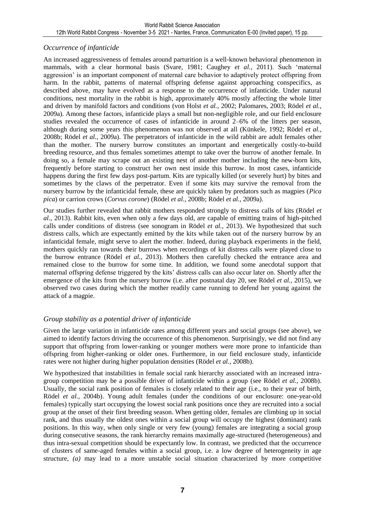## *Occurrence of infanticide*

An increased aggressiveness of females around parturition is a well-known behavioral phenomenon in mammals, with a clear hormonal basis (Svare, 1981; Caughey *et al.*, 2011). Such 'maternal aggression' is an important component of maternal care behavior to adaptively protect offspring from harm. In the rabbit, patterns of maternal offspring defense against approaching conspecifics, as described above, may have evolved as a response to the occurrence of infanticide. Under natural conditions, nest mortality in the rabbit is high, approximately 40% mostly affecting the whole litter and driven by manifold factors and conditions (von Holst *et al.*, 2002; Palomares, 2003; Rödel *et al.*, 2009a). Among these factors, infanticide plays a small but non-negligible role, and our field enclosure studies revealed the occurrence of cases of infanticide in around 2–6% of the litters per season, although during some years this phenomenon was not observed at all (Künkele, 1992; Rödel *et al.*, 2008b; Rödel *et al.*, 2009a). The perpetrators of infanticide in the wild rabbit are adult females other than the mother. The nursery burrow constitutes an important and energetically costly-to-build breeding resource, and thus females sometimes attempt to take over the burrow of another female. In doing so, a female may scrape out an existing nest of another mother including the new-born kits, frequently before starting to construct her own nest inside this burrow. In most cases, infanticide happens during the first few days post-partum. Kits are typically killed (or severely hurt) by bites and sometimes by the claws of the perpetrator. Even if some kits may survive the removal from the nursery burrow by the infanticidal female, these are quickly taken by predators such as magpies (*Pica pica*) or carrion crows (*Corvus corone*) (Rödel *et al.*, 2008b; Rödel *et al.*, 2009a).

Our studies further revealed that rabbit mothers responded strongly to distress calls of kits (Rödel *et al.*, 2013). Rabbit kits, even when only a few days old, are capable of emitting trains of high-pitched calls under conditions of distress (see sonogram in Rödel *et al.*, 2013). We hypothesized that such distress calls, which are expectantly emitted by the kits while taken out of the nursery burrow by an infanticidal female, might serve to alert the mother. Indeed, during playback experiments in the field, mothers quickly ran towards their burrows when recordings of kit distress calls were played close to the burrow entrance (Rödel *et al.*, 2013). Mothers then carefully checked the entrance area and remained close to the burrow for some time. In addition, we found some anecdotal support that maternal offspring defense triggered by the kits' distress calls can also occur later on. Shortly after the emergence of the kits from the nursery burrow (i.e. after postnatal day 20, see Rödel *et al.*, 2015), we observed two cases during which the mother readily came running to defend her young against the attack of a magpie.

## *Group stability as a potential driver of infanticide*

Given the large variation in infanticide rates among different years and social groups (see above), we aimed to identify factors driving the occurrence of this phenomenon. Surprisingly, we did not find any support that offspring from lower-ranking or younger mothers were more prone to infanticide than offspring from higher-ranking or older ones. Furthermore, in our field enclosure study, infanticide rates were not higher during higher population densities (Rödel *et al.*, 2008b).

We hypothesized that instabilities in female social rank hierarchy associated with an increased intragroup competition may be a possible driver of infanticide within a group (see Rödel *et al.*, 2008b). Usually, the social rank position of females is closely related to their age (i.e., to their year of birth, Rödel *et al.*, 2004b). Young adult females (under the conditions of our enclosure: one-year-old females) typically start occupying the lowest social rank positions once they are recruited into a social group at the onset of their first breeding season. When getting older, females are climbing up in social rank, and thus usually the oldest ones within a social group will occupy the highest (dominant) rank positions. In this way, when only single or very few (young) females are integrating a social group during consecutive seasons, the rank hierarchy remains maximally age-structured (heterogeneous) and thus intra-sexual competition should be expectantly low. In contrast, we predicted that the occurrence of clusters of same-aged females within a social group, i.e. a low degree of heterogeneity in age structure, *(a)* may lead to a more unstable social situation characterized by more competitive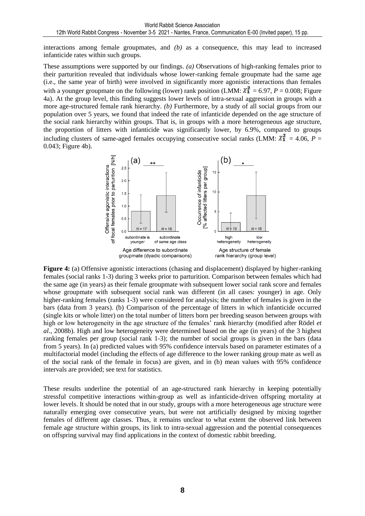interactions among female groupmates, and *(b)* as a consequence, this may lead to increased infanticide rates within such groups.

These assumptions were supported by our findings. *(a)* Observations of high-ranking females prior to their parturition revealed that individuals whose lower-ranking female groupmate had the same age (i.e., the same year of birth) were involved in significantly more agonistic interactions than females with a younger groupmate on the following (lower) rank position (LMM:  $\chi_1^2 = 6.97$ ,  $P = 0.008$ ; Figure 4a). At the group level, this finding suggests lower levels of intra-sexual aggression in groups with a more age-structured female rank hierarchy. *(b)* Furthermore, by a study of all social groups from our population over 5 years, we found that indeed the rate of infanticide depended on the age structure of the social rank hierarchy within groups. That is, in groups with a more heterogeneous age structure, the proportion of litters with infanticide was significantly lower, by 6.9%, compared to groups including clusters of same-aged females occupying consecutive social ranks (LMM:  $\chi_1^2$  = 4.06, *P* = 0.043; Figure 4b).



**Figure 4:** (a) Offensive agonistic interactions (chasing and displacement) displayed by higher-ranking females (social ranks 1-3) during 3 weeks prior to parturition. Comparison between females which had the same age (in years) as their female groupmate with subsequent lower social rank score and females whose groupmate with subsequent social rank was different (in all cases: younger) in age. Only higher-ranking females (ranks 1-3) were considered for analysis; the number of females is given in the bars (data from 3 years). (b) Comparison of the percentage of litters in which infanticide occurred (single kits or whole litter) on the total number of litters born per breeding season between groups with high or low heterogeneity in the age structure of the females' rank hierarchy (modified after Rödel *et al.*, 2008b). High and low heterogeneity were determined based on the age (in years) of the 3 highest ranking females per group (social rank 1-3); the number of social groups is given in the bars (data from 5 years). In (a) predicted values with 95% confidence intervals based on parameter estimates of a multifactorial model (including the effects of age difference to the lower ranking group mate as well as of the social rank of the female in focus) are given, and in (b) mean values with 95% confidence intervals are provided; see text for statistics.

These results underline the potential of an age-structured rank hierarchy in keeping potentially stressful competitive interactions within-group as well as infanticide-driven offspring mortality at lower levels. It should be noted that in our study, groups with a more heterogeneous age structure were naturally emerging over consecutive years, but were not artificially designed by mixing together females of different age classes. Thus, it remains unclear to what extent the observed link between female age structure within groups, its link to intra-sexual aggression and the potential consequences on offspring survival may find applications in the context of domestic rabbit breeding.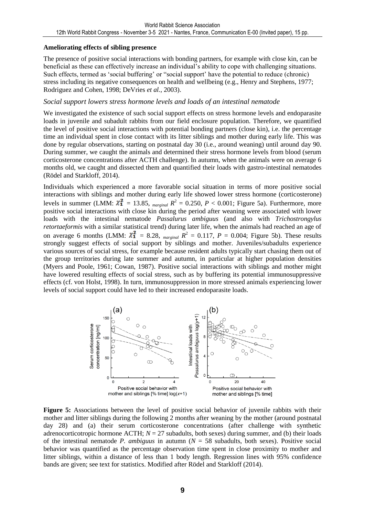#### **Ameliorating effects of sibling presence**

The presence of positive social interactions with bonding partners, for example with close kin, can be beneficial as these can effectively increase an individual's ability to cope with challenging situations. Such effects, termed as 'social buffering' or "social support' have the potential to reduce (chronic) stress including its negative consequences on health and wellbeing (e.g., Henry and Stephens, 1977; Rodriguez and Cohen, 1998; DeVries *et al.*, 2003).

### *Social support lowers stress hormone levels and loads of an intestinal nematode*

We investigated the existence of such social support effects on stress hormone levels and endoparasite loads in juvenile and subadult rabbits from our field enclosure population. Therefore, we quantified the level of positive social interactions with potential bonding partners (close kin), i.e. the percentage time an individual spent in close contact with its litter siblings and mother during early life. This was done by regular observations, starting on postnatal day 30 (i.e., around weaning) until around day 90. During summer, we caught the animals and determined their stress hormone levels from blood (serum corticosterone concentrations after ACTH challenge). In autumn, when the animals were on average 6 months old, we caught and dissected them and quantified their loads with gastro-intestinal nematodes (Rödel and Starkloff, 2014).

Individuals which experienced a more favorable social situation in terms of more positive social interactions with siblings and mother during early life showed lower stress hormone (corticosterone) levels in summer (LMM:  $\chi^2$  = 13.85, <sub>marginal</sub>  $R^2 = 0.250$ ,  $P < 0.001$ ; Figure 5a). Furthermore, more positive social interactions with close kin during the period after weaning were associated with lower loads with the intestinal nematode *Passalurus ambiguus* (and also with *Trichostrongylus retortaeformis* with a similar statistical trend) during later life, when the animals had reached an age of on average 6 months (LMM:  $\chi^2$  = 8.28, <sub>marginal</sub>  $R^2 = 0.117$ ,  $P = 0.004$ ; Figure 5b). These results strongly suggest effects of social support by siblings and mother. Juveniles/subadults experience various sources of social stress, for example because resident adults typically start chasing them out of the group territories during late summer and autumn, in particular at higher population densities (Myers and Poole, 1961; Cowan, 1987). Positive social interactions with siblings and mother might have lowered resulting effects of social stress, such as by buffering its potential immunosuppressive effects (cf. von Holst, 1998). In turn, immunosuppression in more stressed animals experiencing lower levels of social support could have led to their increased endoparasite loads.



**Figure 5:** Associations between the level of positive social behavior of juvenile rabbits with their mother and litter siblings during the following 2 months after weaning by the mother (around postnatal day 28) and (a) their serum corticosterone concentrations (after challenge with synthetic adrenocorticotropic hormone ACTH;  $N = 27$  subadults, both sexes) during summer, and (b) their loads of the intestinal nematode *P. ambiguus* in autumn  $(N = 58$  subadults, both sexes). Positive social behavior was quantified as the percentage observation time spent in close proximity to mother and litter siblings, within a distance of less than 1 body length. Regression lines with 95% confidence bands are given; see text for statistics. Modified after Rödel and Starkloff (2014).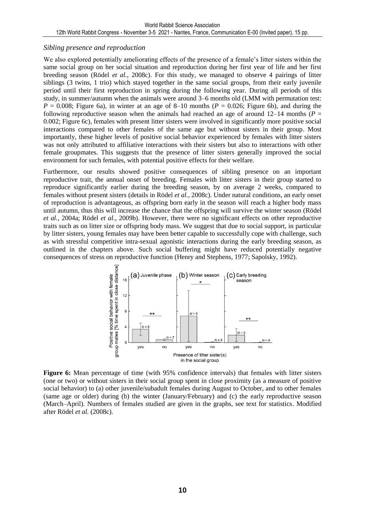## *Sibling presence and reproduction*

We also explored potentially ameliorating effects of the presence of a female's litter sisters within the same social group on her social situation and reproduction during her first year of life and her first breeding season (Rödel *et al.*, 2008c). For this study, we managed to observe 4 pairings of litter siblings (3 twins, 1 trio) which stayed together in the same social groups, from their early juvenile period until their first reproduction in spring during the following year. During all periods of this study, in summer/autumn when the animals were around 3–6 months old (LMM with permutation test:  $P = 0.008$ ; Figure 6a), in winter at an age of 8–10 months ( $P = 0.026$ ; Figure 6b), and during the following reproductive season when the animals had reached an age of around  $12-14$  months ( $P =$ 0.002; Figure 6c), females with present litter sisters were involved in significantly more positive social interactions compared to other females of the same age but without sisters in their group. Most importantly, these higher levels of positive social behavior experienced by females with litter sisters was not only attributed to affiliative interactions with their sisters but also to interactions with other female groupmates. This suggests that the presence of litter sisters generally improved the social environment for such females, with potential positive effects for their welfare.

Furthermore, our results showed positive consequences of sibling presence on an important reproductive trait, the annual onset of breeding. Females with litter sisters in their group started to reproduce significantly earlier during the breeding season, by on average 2 weeks, compared to females without present sisters (details in Rödel *et al.*, 2008c). Under natural conditions, an early onset of reproduction is advantageous, as offspring born early in the season will reach a higher body mass until autumn, thus this will increase the chance that the offspring will survive the winter season (Rödel *et al.*, 2004a; Rödel *et al.*, 2009b). However, there were no significant effects on other reproductive traits such as on litter size or offspring body mass. We suggest that due to social support, in particular by litter sisters, young females may have been better capable to successfully cope with challenge, such as with stressful competitive intra-sexual agonistic interactions during the early breeding season, as outlined in the chapters above. Such social buffering might have reduced potentially negative consequences of stress on reproductive function (Henry and Stephens, 1977; Sapolsky, 1992).



**Figure 6:** Mean percentage of time (with 95% confidence intervals) that females with litter sisters (one or two) or without sisters in their social group spent in close proximity (as a measure of positive social behavior) to (a) other juvenile/subadult females during August to October, and to other females (same age or older) during (b) the winter (January/February) and (c) the early reproductive season (March–April). Numbers of females studied are given in the graphs, see text for statistics. Modified after Rödel *et al.* (2008c).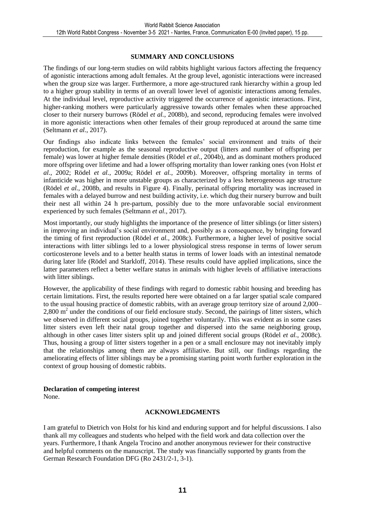#### **SUMMARY AND CONCLUSIONS**

The findings of our long-term studies on wild rabbits highlight various factors affecting the frequency of agonistic interactions among adult females. At the group level, agonistic interactions were increased when the group size was larger. Furthermore, a more age-structured rank hierarchy within a group led to a higher group stability in terms of an overall lower level of agonistic interactions among females. At the individual level, reproductive activity triggered the occurrence of agonistic interactions. First, higher-ranking mothers were particularly aggressive towards other females when these approached closer to their nursery burrows (Rödel *et al.*, 2008b), and second, reproducing females were involved in more agonistic interactions when other females of their group reproduced at around the same time (Seltmann *et al.*, 2017).

Our findings also indicate links between the females' social environment and traits of their reproduction, for example as the seasonal reproductive output (litters and number of offspring per female) was lower at higher female densities (Rödel *et al.*, 2004b), and as dominant mothers produced more offspring over lifetime and had a lower offspring mortality than lower ranking ones (von Holst *et al.*, 2002; Rödel *et al.*, 2009a; Rödel *et al.*, 2009b). Moreover, offspring mortality in terms of infanticide was higher in more unstable groups as characterized by a less heterogeneous age structure (Rödel *et al.*, 2008b, and results in Figure 4). Finally, perinatal offspring mortality was increased in females with a delayed burrow and nest building activity, i.e. which dug their nursery burrow and built their nest all within 24 h pre-partum, possibly due to the more unfavorable social environment experienced by such females (Seltmann *et al.*, 2017).

Most importantly, our study highlights the importance of the presence of litter siblings (or litter sisters) in improving an individual's social environment and, possibly as a consequence, by bringing forward the timing of first reproduction (Rödel *et al.*, 2008c). Furthermore, a higher level of positive social interactions with litter siblings led to a lower physiological stress response in terms of lower serum corticosterone levels and to a better health status in terms of lower loads with an intestinal nematode during later life (Rödel and Starkloff, 2014). These results could have applied implications, since the latter parameters reflect a better welfare status in animals with higher levels of affiliative interactions with litter siblings.

However, the applicability of these findings with regard to domestic rabbit housing and breeding has certain limitations. First, the results reported here were obtained on a far larger spatial scale compared to the usual housing practice of domestic rabbits, with an average group territory size of around 2,000– 2,800 m<sup>2</sup> under the conditions of our field enclosure study. Second, the pairings of litter sisters, which we observed in different social groups, joined together voluntarily. This was evident as in some cases litter sisters even left their natal group together and dispersed into the same neighboring group, although in other cases litter sisters split up and joined different social groups (Rödel *et al.*, 2008c). Thus, housing a group of litter sisters together in a pen or a small enclosure may not inevitably imply that the relationships among them are always affiliative. But still, our findings regarding the ameliorating effects of litter siblings may be a promising starting point worth further exploration in the context of group housing of domestic rabbits.

#### **Declaration of competing interest**

None.

#### **ACKNOWLEDGMENTS**

I am grateful to Dietrich von Holst for his kind and enduring support and for helpful discussions. I also thank all my colleagues and students who helped with the field work and data collection over the years. Furthermore, I thank Angela Trocino and another anonymous reviewer for their constructive and helpful comments on the manuscript. The study was financially supported by grants from the German Research Foundation DFG (Ro 2431/2-1, 3-1).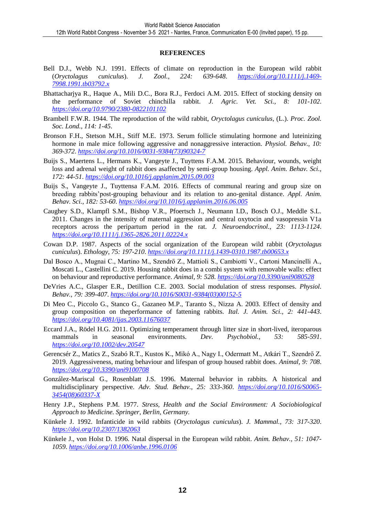#### **REFERENCES**

- Bell D.J., Webb N.J. 1991. Effects of climate on reproduction in the European wild rabbit (*Oryctolagus cuniculus*). *J. Zool., 224: 639-648*. *[https://doi.org/10.1111/j.1469-](https://doi.org/10.1111/j.1469-7998.1991.tb03792.x) [7998.1991.tb03792.x](https://doi.org/10.1111/j.1469-7998.1991.tb03792.x)*
- Bhattacharjya R., Haque A., Mili D.C., Bora R.J., Ferdoci A.M. 2015. Effect of stocking density on the performance of Soviet chinchilla rabbit. *J. Agric. Vet. Sci., 8: 101-102*. *<https://doi.org/10.9790/2380-0822101102>*
- Brambell F.W.R. 1944. The reproduction of the wild rabbit, *Oryctolagus cuniculus*, (L.). *Proc. Zool. Soc. Lond., 114: 1-45*.
- Bronson F.H., Stetson M.H., Stiff M.E. 1973. Serum follicle stimulating hormone and luteinizing hormone in male mice following aggressive and nonaggressive interaction. *Physiol. Behav., 10: 369-372*. *[https://doi.org/10.1016/0031-9384\(73\)90324-7](https://doi.org/10.1016/0031-9384(73)90324-7)*
- Buijs S., Maertens L., Hermans K., Vangeyte J., Tuyttens F.A.M. 2015. Behaviour, wounds, weight loss and adrenal weight of rabbit does asaffected by semi-group housing. *Appl. Anim. Behav. Sci., 172: 44-51*. *<https://doi.org/10.1016/j.applanim.2015.09.003>*
- Buijs S., Vangeyte J., Tuyttensa F.A.M. 2016. Effects of communal rearing and group size on breeding rabbits'post-grouping behaviour and its relation to ano-genital distance. *Appl. Anim. Behav. Sci., 182: 53-60*. *<https://doi.org/10.1016/j.applanim.2016.06.005>*
- Caughey S.D., Klampfl S.M., Bishop V.R., Pfoertsch J., Neumann I.D., Bosch O.J., Meddle S.L. 2011. Changes in the intensity of maternal aggression and central oxytocin and vasopressin V1a receptors across the peripartum period in the rat. *J. Neuroendocrinol., 23: 1113-1124*. *<https://doi.org/10.1111/j.1365-2826.2011.02224.x>*
- Cowan D.P. 1987. Aspects of the social organization of the European wild rabbit (*Oryctolagus cuniculus*). *Ethology, 75: 197-210*. *<https://doi.org/10.1111/j.1439-0310.1987.tb00653.x>*
- Dal Bosco A., Mugnai C., Martino M., Szendrő Z., Mattioli S., Cambiotti V., Cartoni Mancinelli A., Moscati L., Castellini C. 2019. Housing rabbit does in a combi system with removable walls: effect on behaviour and reproductive performance. *Animal, 9: 528*. *<https://doi.org/10.3390/ani9080528>*
- DeVries A.C., Glasper E.R., Detillion C.E. 2003. Social modulation of stress responses. *Physiol. Behav., 79: 399-407*. *[https://doi.org/10.1016/S0031-9384\(03\)00152-5](https://doi.org/10.1016/S0031-9384(03)00152-5)*
- Di Meo C., Piccolo G., Stanco G., Gazaneo M.P., Taranto S., Nizza A. 2003. Effect of density and group composition on theperformance of fattening rabbits. *Ital. J. Anim. Sci., 2: 441-443*. *<https://doi.org/10.4081/ijas.2003.11676037>*
- Eccard J.A., Rödel H.G. 2011. Optimizing temperament through litter size in short-lived, iteroparous mammals in seasonal environments. *Dev. Psychobiol., 53: 585-591*. *<https://doi.org/10.1002/dev.20547>*
- Gerencsér Z., Matics Z., Szabó R.T., Kustos K., Mikó A., Nagy I., Odermatt M., Atkári T., Szendrő Z. 2019. Aggressiveness, mating behaviour and lifespan of group housed rabbit does. *Animal, 9: 708*. *<https://doi.org/10.3390/ani9100708>*
- González-Mariscal G., Rosenblatt J.S. 1996. Maternal behavior in rabbits. A historical and multidisciplinary perspective. *Adv. Stud. Behav., 25: 333-360*. *[https://doi.org/10.1016/S0065-](https://doi.org/10.1016/S0065-3454(08)60337-X) [3454\(08\)60337-X](https://doi.org/10.1016/S0065-3454(08)60337-X)*
- Henry J.P., Stephens P.M. 1977. *Stress, Health and the Social Environment: A Sociobiological Approach to Medicine. Springer, Berlin, Germany.*
- Künkele J. 1992. Infanticide in wild rabbits (*Oryctolagus cuniculus*). *J. Mammal., 73: 317-320*. *<https://doi.org/10.2307/1382063>*
- Künkele J., von Holst D. 1996. Natal dispersal in the European wild rabbit. *Anim. Behav., 51: 1047- 1059*. *<https://doi.org/10.1006/anbe.1996.0106>*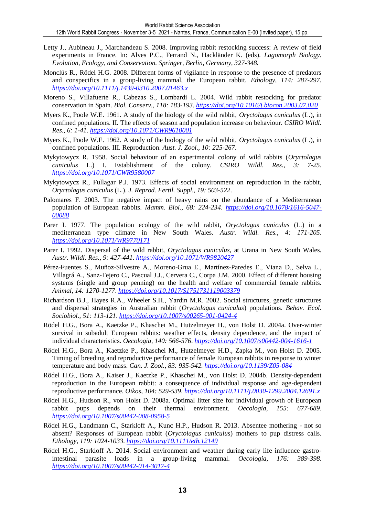- Letty J., Aubineau J., Marchandeau S. 2008. Improving rabbit restocking success: A review of field experiments in France. In: Alves P.C., Ferrand N., Hackländer K. (eds). *Lagomorph Biology. Evolution, Ecology, and Conservation. Springer, Berlin, Germany, 327-348.*
- Monclús R., Rödel H.G. 2008. Different forms of vigilance in response to the presence of predators and conspecifics in a group-living mammal, the European rabbit. *Ethology, 114: 287-297*. *<https://doi.org/10.1111/j.1439-0310.2007.01463.x>*
- Moreno S., Villafuerte R., Cabezas S., Lombardi L. 2004. Wild rabbit restocking for predator conservation in Spain. *Biol. Conserv., 118: 183-193*. *<https://doi.org/10.1016/j.biocon.2003.07.020>*
- Myers K., Poole W.E. 1961. A study of the biology of the wild rabbit, *Oryctolagus cuniculus* (L.), in confined populations. II. The effects of season and population increase on behaviour. *CSIRO Wildl. Res., 6: 1-41*. *<https://doi.org/10.1071/CWR9610001>*
- Myers K., Poole W.E. 1962. A study of the biology of the wild rabbit, *Oryctolagus cuniculus* (L.), in confined populations. III. Reproduction. *Aust. J. Zool., 10: 225-267*.
- Mykytowycz R. 1958. Social behaviour of an experimental colony of wild rabbits (*Oryctolagus cuniculus* L.) I. Establishment of the colony. *CSIRO Wildl. Res., 3: 7-25*. *<https://doi.org/10.1071/CWR9580007>*
- Mykytowycz R., Fullagar P.J. 1973. Effects of social environment on reproduction in the rabbit, *Oryctolagus cuniculus* (L.). *J. Reprod. Fertil. Suppl., 19: 503-522*.
- Palomares F. 2003. The negative impact of heavy rains on the abundance of a Mediterranean population of European rabbits. *Mamm. Biol., 68: 224-234*. *[https://doi.org/10.1078/1616-5047-](https://doi.org/10.1078/1616-5047-00088) [00088](https://doi.org/10.1078/1616-5047-00088)*
- Parer I. 1977. The population ecology of the wild rabbit, *Oryctolagus cuniculus* (L.) in a mediterranean type climate in New South Wales. *Austr. Wildl. Res., 4: 171-205*. *<https://doi.org/10.1071/WR9770171>*
- Parer I. 1992. Dispersal of the wild rabbit, *Oryctolagus cuniculus*, at Urana in New South Wales. *Austr. Wildl. Res., 9: 427-441*. *<https://doi.org/10.1071/WR9820427>*
- Pérez-Fuentes S., Muñoz-Silvestre A., Moreno-Grua E., Martínez-Paredes E., Viana D., Selva L., Villagrá A., Sanz-Tejero C., Pascual J.J., Cervera C., Corpa J.M. 2000. Effect of different housing systems (single and group penning) on the health and welfare of commercial female rabbits. *Animal, 14: 1270-1277*. *<https://doi.org/10.1017/S1751731119003379>*
- Richardson B.J., Hayes R.A., Wheeler S.H., Yardin M.R. 2002. Social structures, genetic structures and dispersal strategies in Australian rabbit (*Oryctolagus cuniculus*) populations. *Behav. Ecol. Sociobiol., 51: 113-121*. *<https://doi.org/10.1007/s00265-001-0424-4>*
- Rödel H.G., Bora A., Kaetzke P., Khaschei M., Hutzelmeyer H., von Holst D. 2004a. Over-winter survival in subadult European rabbits: weather effects, density dependence, and the impact of individual characteristics. *Oecologia, 140: 566-576*. *<https://doi.org/10.1007/s00442-004-1616-1>*
- Rödel H.G., Bora A., Kaetzke P., Khaschei M., Hutzelmeyer H.D., Zapka M., von Holst D. 2005. Timing of breeding and reproductive performance of female European rabbits in response to winter temperature and body mass. *Can. J. Zool., 83: 935-942*. *<https://doi.org/10.1139/Z05-084>*
- Rödel H.G., Bora A., Kaiser J., Kaetzke P., Khaschei M., von Holst D. 2004b. Density-dependent reproduction in the European rabbit: a consequence of individual response and age-dependent reproductive performance. *Oikos, 104: 529-539*. *<https://doi.org/10.1111/j.0030-1299.2004.12691.x>*
- Rödel H.G., Hudson R., von Holst D. 2008a. Optimal litter size for individual growth of European rabbit pups depends on their thermal environment. *Oecologia, 155: 677-689*. *<https://doi.org/10.1007/s00442-008-0958-5>*
- Rödel H.G., Landmann C., Starkloff A., Kunc H.P., Hudson R. 2013. Absentee mothering not so absent? Responses of European rabbit (*Oryctolagus cuniculus*) mothers to pup distress calls. *Ethology, 119: 1024-1033*. *<https://doi.org/10.1111/eth.12149>*
- Rödel H.G., Starkloff A. 2014. Social environment and weather during early life influence gastrointestinal parasite loads in a group-living mammal. *Oecologia, 176: 389-398*. *<https://doi.org/10.1007/s00442-014-3017-4>*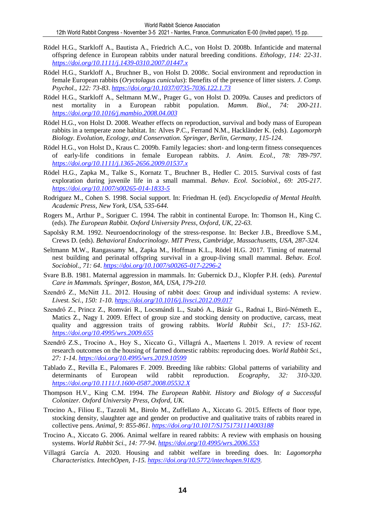- Rödel H.G., Starkloff A., Bautista A., Friedrich A.C., von Holst D. 2008b. Infanticide and maternal offspring defence in European rabbits under natural breeding conditions. *Ethology, 114: 22-31*. *<https://doi.org/10.1111/j.1439-0310.2007.01447.x>*
- Rödel H.G., Starkloff A., Bruchner B., von Holst D. 2008c. Social environment and reproduction in female European rabbits (*Oryctolagus cuniculus*): Benefits of the presence of litter sisters. *J. Comp. Psychol., 122: 73-83*. *<https://doi.org/10.1037/0735-7036.122.1.73>*
- Rödel H.G., Starkloff A., Seltmann M.W., Prager G., von Holst D. 2009a. Causes and predictors of nest mortality in a European rabbit population. *Mamm. Biol., 74: 200-211*. *<https://doi.org/10.1016/j.mambio.2008.04.003>*
- Rödel H.G., von Holst D. 2008. Weather effects on reproduction, survival and body mass of European rabbits in a temperate zone habitat. In: Alves P.C., Ferrand N.M., Hackländer K. (eds). *Lagomorph Biology. Evolution, Ecology, and Conservation. Springer, Berlin, Germany, 115-124.*
- Rödel H.G., von Holst D., Kraus C. 2009b. Family legacies: short- and long-term fitness consequences of early-life conditions in female European rabbits. *J. Anim. Ecol., 78: 789-797*. *<https://doi.org/10.1111/j.1365-2656.2009.01537.x>*
- Rödel H.G., Zapka M., Talke S., Kornatz T., Bruchner B., Hedler C. 2015. Survival costs of fast exploration during juvenile life in a small mammal. *Behav. Ecol. Sociobiol., 69: 205-217*. *<https://doi.org/10.1007/s00265-014-1833-5>*
- Rodriguez M., Cohen S. 1998. Social support. In: Friedman H. (ed). *Encyclopedia of Mental Health. Academic Press, New York, USA, 535-644.*
- Rogers M., Arthur P., Soriguer C. 1994. The rabbit in continental Europe. In: Thomson H., King C. (eds). *The European Rabbit. Oxford University Press, Oxford, UK, 22-63.*
- Sapolsky R.M. 1992. Neuroendocrinology of the stress-response. In: Becker J.B., Breedlove S.M., Crews D. (eds). *Behavioral Endocrinology. MIT Press, Cambridge, Massachusetts, USA, 287-324.*
- Seltmann M.W., Rangassamy M., Zapka M., Hoffman K.L., Rödel H.G. 2017. Timing of maternal nest building and perinatal offspring survival in a group-living small mammal. *Behav. Ecol. Sociobiol., 71: 64*. *<https://doi.org/10.1007/s00265-017-2296-2>*
- Svare B.B. 1981. Maternal aggression in mammals. In: Gubernick D.J., Klopfer P.H. (eds). *Parental Care in Mammals. Springer, Boston, MA, USA, 179-210.*
- Szendrő Z., McNitt J.L. 2012. Housing of rabbit does: Group and individual systems: A review. *Livest. Sci., 150: 1-10*. *<https://doi.org/10.1016/j.livsci.2012.09.017>*
- Szendrő Z., Princz Z., Romvári R., Locsmándi L., Szabó A., Bázár G., Radnai I., Biró-Németh E., Matics Z., Nagy I. 2009. Effect of group size and stocking density on productive, carcass, meat quality and aggression traits of growing rabbits. *World Rabbit Sci., 17: 153-162*. *<https://doi.org/10.4995/wrs.2009.655>*
- Szendrő Z.S., Trocino A., Hoy S., Xiccato G., Villagrá A., Maertens l. 2019. A review of recent research outcomes on the housing of farmed domestic rabbits: reproducing does. *World Rabbit Sci., 27: 1-14*. *<https://doi.org/10.4995/wrs.2019.10599>*
- Tablado Z., Revilla E., Palomares F. 2009. Breeding like rabbits: Global patterns of variability and determinants of European wild rabbit reproduction. *Ecography, 32: 310-320*. *<https://doi.org/10.1111/J.1600-0587.2008.05532.X>*
- Thompson H.V., King C.M. 1994. *The European Rabbit. History and Biology of a Successful Colonizer. Oxford University Press, Oxford, UK.*
- Trocino A., Filiou E., Tazzoli M., Birolo M., Zuffellato A., Xiccato G. 2015. Effects of floor type, stocking density, slaughter age and gender on productive and qualitative traits of rabbits reared in collective pens. *Animal, 9: 855-861*. *<https://doi.org/10.1017/S1751731114003188>*
- Trocino A., Xiccato G. 2006. Animal welfare in reared rabbits: A review with emphasis on housing systems. *World Rabbit Sci., 14: 77-94*. *<https://doi.org/10.4995/wrs.2006.553>*
- Villagrá García A. 2020. Housing and rabbit welfare in breeding does. In: *Lagomorpha Characteristics. IntechOpen, 1-15. [https://doi.org/10.5772/intechopen.91829.](https://doi.org/10.5772/intechopen.91829)*